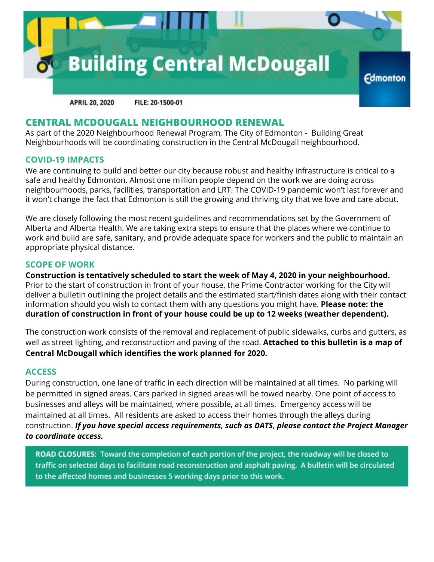

**APRIL 20, 2020** FILE: 20-1500-01

## **CENTRAL MCDOUGALL NEIGHBOURHOOD RENEWAL**

As part of the 2020 Neighbourhood Renewal Program, The City of Edmonton - Building Great Neighbourhoods will be coordinating construction in the Central McDougall neighbourhood.

### **COVID-19 IMPACTS**

We are continuing to build and better our city because robust and healthy infrastructure is critical to a safe and healthy Edmonton. Almost one million people depend on the work we are doing across neighbourhoods, parks, facilities, transportation and LRT. The COVID-19 pandemic won't last forever and it won't change the fact that Edmonton is still the growing and thriving city that we love and care about.

We are closely following the most recent guidelines and recommendations set by the Government of Alberta and Alberta Health. We are taking extra steps to ensure that the places where we continue to work and build are safe, sanitary, and provide adequate space for workers and the public to maintain an appropriate physical distance.

### **SCOPE OF WORK**

**Construction is tentatively scheduled to start the week of May 4, 2020 in your neighbourhood.** Prior to the start of construction in front of your house, the Prime Contractor working for the City will deliver a bulletin outlining the project details and the estimated start/finish dates along with their contact information should you wish to contact them with any questions you might have. **Please note: the duration of construction in front of your house could be up to 12 weeks (weather dependent).**

The construction work consists of the removal and replacement of public sidewalks, curbs and gutters, as well as street lighting, and reconstruction and paving of the road. **Attached to this bulletin is a map of Central McDougall which identifies the work planned for 2020.**

### **ACCESS**

During construction, one lane of traffic in each direction will be maintained at all times. No parking will be permitted in signed areas. Cars parked in signed areas will be towed nearby. One point of access to businesses and alleys will be maintained, where possible, at all times. Emergency access will be maintained at all times. All residents are asked to access their homes through the alleys during construction. *If you have special access requirements, such as DATS, please contact the Project Manager to coordinate access.*

ROAD CLOSURES: Toward the completion of each portion of the project, the roadway will be closed to traffic on selected days to facilitate road reconstruction and asphalt paving. A bulletin will be circulated to the affected homes and businesses 5 working days prior to this work.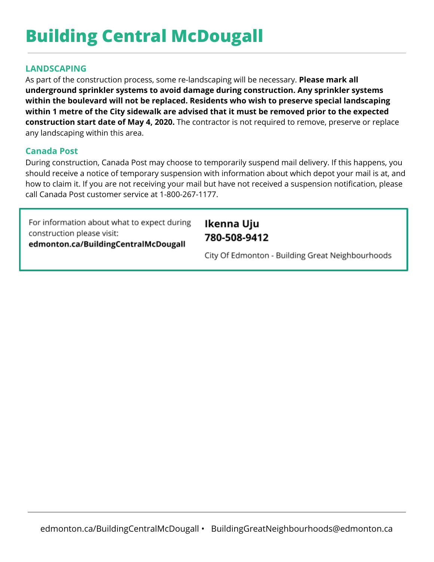# **Building Central McDougall**

## **LANDSCAPING**

As part of the construction process, some re-landscaping will be necessary. **Please mark all underground sprinkler systems to avoid damage during construction. Any sprinkler systems within the boulevard will not be replaced. Residents who wish to preserve special landscaping within 1 metre of the City sidewalk are advised that it must be removed prior to the expected construction start date of May 4, 2020.** The contractor is not required to remove, preserve or replace any landscaping within this area.

### **Canada Post**

During construction, Canada Post may choose to temporarily suspend mail delivery. If this happens, you should receive a notice of temporary suspension with information about which depot your mail is at, and how to claim it. If you are not receiving your mail but have not received a suspension notification, please call Canada Post customer service at 1-800-267-1177.

For information about what to expect during construction please visit: edmonton.ca/BuildingCentralMcDougall

Ikenna Uju 780-508-9412

City Of Edmonton - Building Great Neighbourhoods